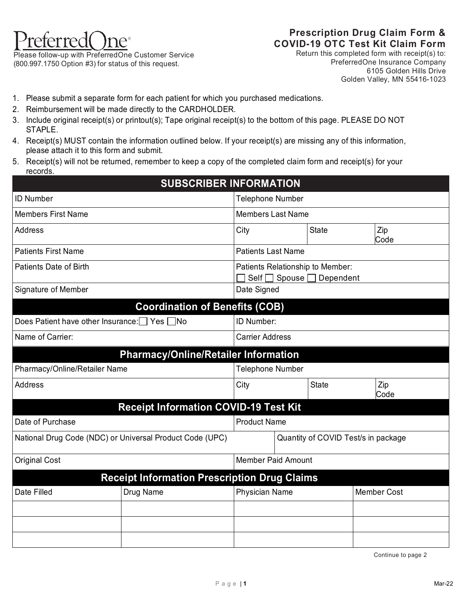

Please follow-up with PreferredOne Customer Service (800.997.1750 Option #3) for status of this request.

## **Prescription Drug Claim Form & COVID-19 OTC Test Kit Claim Form**

Return this completed form with receipt(s) to: PreferredOne Insurance Company 6105 Golden Hills Drive Golden Valley, MN 55416-1023

- 1. Please submit a separate form for each patient for which you purchased medications.
- 2. Reimbursement will be made directly to the CARDHOLDER.
- 3. Include original receipt(s) or printout(s); Tape original receipt(s) to the bottom of this page. PLEASE DO NOT STAPLE.
- 4. Receipt(s) MUST contain the information outlined below. If your receipt(s) are missing any of this information, please attach it to this form and submit.
- 5. Receipt(s) will not be returned, remember to keep a copy of the completed claim form and receipt(s) for your records.

|                                                          |                                     | <b>SUBSCRIBER INFORMATION</b>                                 |  |              |                    |
|----------------------------------------------------------|-------------------------------------|---------------------------------------------------------------|--|--------------|--------------------|
| <b>ID Number</b>                                         |                                     | <b>Telephone Number</b>                                       |  |              |                    |
| <b>Members First Name</b>                                |                                     | <b>Members Last Name</b>                                      |  |              |                    |
| <b>Address</b>                                           |                                     | City                                                          |  | <b>State</b> | Zip<br>Code        |
| <b>Patients First Name</b>                               |                                     | <b>Patients Last Name</b>                                     |  |              |                    |
| <b>Patients Date of Birth</b>                            |                                     | Patients Relationship to Member:<br>Self □ Spouse □ Dependent |  |              |                    |
| Signature of Member                                      |                                     | Date Signed                                                   |  |              |                    |
| <b>Coordination of Benefits (COB)</b>                    |                                     |                                                               |  |              |                    |
| Does Patient have other Insurance: Ves no                | ID Number:                          |                                                               |  |              |                    |
| Name of Carrier:                                         | <b>Carrier Address</b>              |                                                               |  |              |                    |
| <b>Pharmacy/Online/Retailer Information</b>              |                                     |                                                               |  |              |                    |
| Pharmacy/Online/Retailer Name                            |                                     | <b>Telephone Number</b>                                       |  |              |                    |
| <b>Address</b>                                           |                                     | <b>State</b><br>City                                          |  |              | Zip<br>Code        |
| <b>Receipt Information COVID-19 Test Kit</b>             |                                     |                                                               |  |              |                    |
| Date of Purchase                                         |                                     | <b>Product Name</b>                                           |  |              |                    |
| National Drug Code (NDC) or Universal Product Code (UPC) | Quantity of COVID Test/s in package |                                                               |  |              |                    |
| <b>Original Cost</b>                                     |                                     | <b>Member Paid Amount</b>                                     |  |              |                    |
| <b>Receipt Information Prescription Drug Claims</b>      |                                     |                                                               |  |              |                    |
| Date Filled<br>Drug Name                                 |                                     | <b>Physician Name</b>                                         |  |              | <b>Member Cost</b> |
|                                                          |                                     |                                                               |  |              |                    |
|                                                          |                                     |                                                               |  |              |                    |
|                                                          |                                     |                                                               |  |              |                    |

Continue to page 2